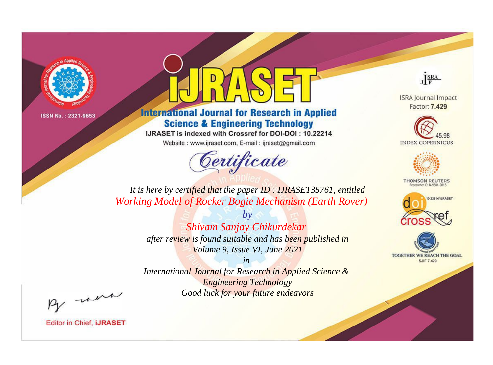

# **International Journal for Research in Applied Science & Engineering Technology**

IJRASET is indexed with Crossref for DOI-DOI: 10.22214

Website: www.ijraset.com, E-mail: ijraset@gmail.com



JERA

**ISRA Journal Impact** Factor: 7.429





**THOMSON REUTERS** 



TOGETHER WE REACH THE GOAL **SJIF 7.429** 

*It is here by certified that the paper ID : IJRASET35761, entitled Working Model of Rocker Bogie Mechanism (Earth Rover)*

> *by Shivam Sanjay Chikurdekar after review is found suitable and has been published in Volume 9, Issue VI, June 2021*

> > *in*

*International Journal for Research in Applied Science & Engineering Technology Good luck for your future endeavors*

By morn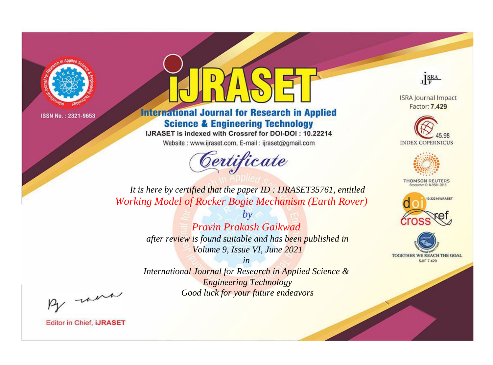

## **International Journal for Research in Applied Science & Engineering Technology**

IJRASET is indexed with Crossref for DOI-DOI : 10.22214

Website: www.ijraset.com, E-mail: ijraset@gmail.com



JERA

**ISRA Journal Impact** Factor: 7.429





**THOMSON REUTERS** 



TOGETHER WE REACH THE GOAL **SJIF 7.429** 

It is here by certified that the paper ID: IJRASET35761, entitled **Working Model of Rocker Bogie Mechanism (Earth Rover)** 

> $h\nu$ **Pravin Prakash Gaikwad** after review is found suitable and has been published in Volume 9, Issue VI, June 2021

> $in$ International Journal for Research in Applied Science & **Engineering Technology** Good luck for your future endeavors

By morn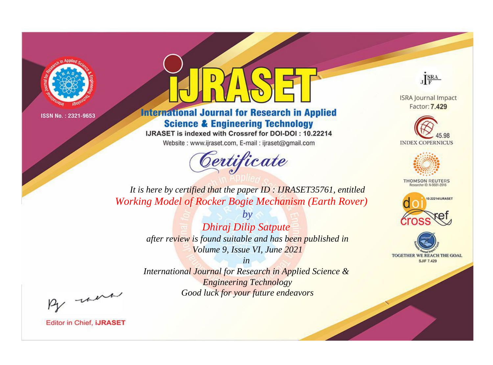

## **International Journal for Research in Applied Science & Engineering Technology**

IJRASET is indexed with Crossref for DOI-DOI: 10.22214

Website: www.ijraset.com, E-mail: ijraset@gmail.com



JERA

**ISRA Journal Impact** Factor: 7.429





**THOMSON REUTERS** 



TOGETHER WE REACH THE GOAL **SJIF 7.429** 

It is here by certified that the paper ID: IJRASET35761, entitled **Working Model of Rocker Bogie Mechanism (Earth Rover)** 

> $b\nu$ **Dhiraj Dilip Satpute** after review is found suitable and has been published in Volume 9, Issue VI, June 2021

 $in$ International Journal for Research in Applied Science & **Engineering Technology** Good luck for your future endeavors

By morn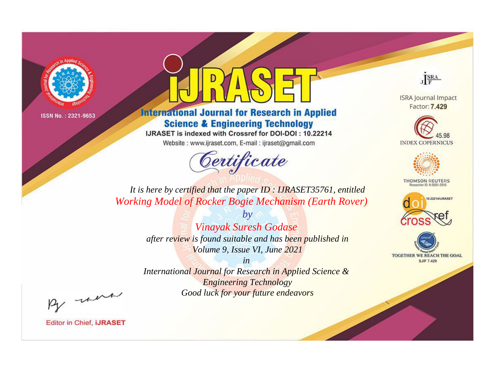

## **International Journal for Research in Applied Science & Engineering Technology**

IJRASET is indexed with Crossref for DOI-DOI: 10.22214

Website: www.ijraset.com, E-mail: ijraset@gmail.com



JERA

**ISRA Journal Impact** Factor: 7.429





**THOMSON REUTERS** 



TOGETHER WE REACH THE GOAL **SJIF 7.429** 

It is here by certified that the paper ID: IJRASET35761, entitled Working Model of Rocker Bogie Mechanism (Earth Rover)

> $b\nu$ **Vinayak Suresh Godase** after review is found suitable and has been published in Volume 9, Issue VI, June 2021

 $in$ International Journal for Research in Applied Science & **Engineering Technology** Good luck for your future endeavors

By morn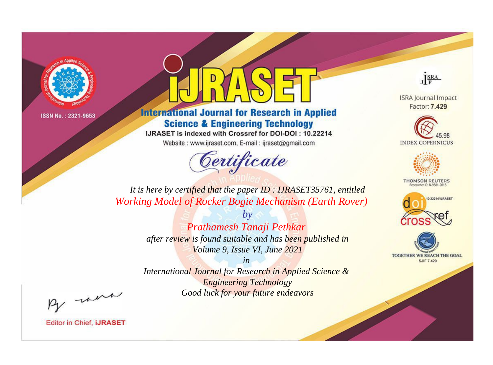

## **International Journal for Research in Applied Science & Engineering Technology**

IJRASET is indexed with Crossref for DOI-DOI: 10.22214

Website: www.ijraset.com, E-mail: ijraset@gmail.com



JERA

**ISRA Journal Impact** Factor: 7.429





**THOMSON REUTERS** 



TOGETHER WE REACH THE GOAL **SJIF 7.429** 

It is here by certified that the paper ID: IJRASET35761, entitled **Working Model of Rocker Bogie Mechanism (Earth Rover)** 

> $b\nu$ Prathamesh Tanaji Pethkar after review is found suitable and has been published in Volume 9, Issue VI, June 2021

 $in$ International Journal for Research in Applied Science & **Engineering Technology** Good luck for your future endeavors

By morn